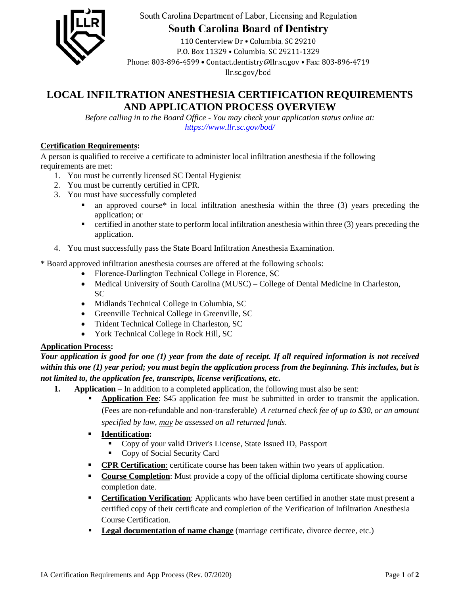

South Carolina Department of Labor, Licensing and Regulation

**South Carolina Board of Dentistry** 

110 Centerview Dr . Columbia, SC 29210 P.O. Box 11329 . Columbia. SC 29211-1329 Phone: 803-896-4599 • Contact.dentistry@llr.sc.gov • Fax: 803-896-4719 llr.sc.gov/bod

## **LOCAL INFILTRATION ANESTHESIA CERTIFICATION REQUIREMENTS AND APPLICATION PROCESS OVERVIEW**

*Before calling in to the Board Office - You may check your application status online at: <https://www.llr.sc.gov/bod/>*

#### **Certification Requirements:**

A person is qualified to receive a certificate to administer local infiltration anesthesia if the following requirements are met:

- 1. You must be currently licensed SC Dental Hygienist
- 2. You must be currently certified in CPR.
- 3. You must have successfully completed
	- an approved course\* in local infiltration anesthesia within the three (3) years preceding the application; or
	- $\blacksquare$  certified in another state to perform local infiltration anesthesia within three (3) years preceding the application.
- 4. You must successfully pass the State Board Infiltration Anesthesia Examination.

\* Board approved infiltration anesthesia courses are offered at the following schools:

- Florence-Darlington Technical College in Florence, SC
- Medical University of South Carolina (MUSC) College of Dental Medicine in Charleston, SC
- Midlands Technical College in Columbia, SC
- Greenville Technical College in Greenville, SC
- Trident Technical College in Charleston, SC
- York Technical College in Rock Hill, SC

#### **Application Process:**

*Your application is good for one (1) year from the date of receipt. If all required information is not received within this one (1) year period; you must begin the application process from the beginning. This includes, but is not limited to, the application fee, transcripts, license verifications, etc.* 

- **1. Application** In addition to a completed application, the following must also be sent:
	- **Application Fee**: \$45 application fee must be submitted in order to transmit the application. (Fees are non-refundable and non-transferable) *A returned check fee of up to \$30, or an amount specified by law, may be assessed on all returned funds*.
	- **Identification:**
		- Copy of your valid Driver's License, State Issued ID, Passport
		- Copy of Social Security Card
	- **CPR Certification**: certificate course has been taken within two years of application.
	- **Course Completion**: Must provide a copy of the official diploma certificate showing course completion date.
	- **Certification Verification**: Applicants who have been certified in another state must present a certified copy of their certificate and completion of the Verification of Infiltration Anesthesia Course Certification.
	- **Legal documentation of name change** (marriage certificate, divorce decree, etc.)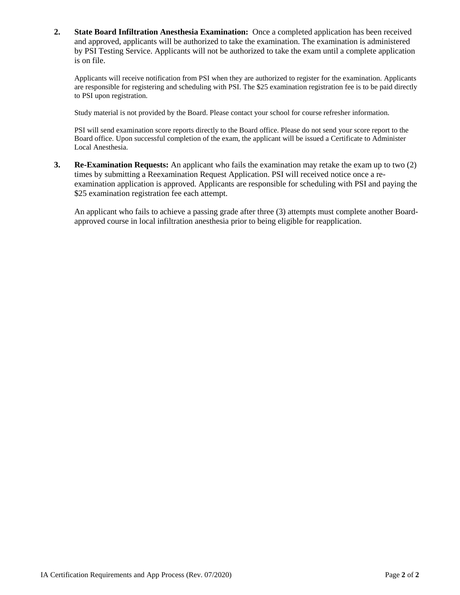**2. State Board Infiltration Anesthesia Examination:** Once a completed application has been received and approved, applicants will be authorized to take the examination. The examination is administered by PSI Testing Service. Applicants will not be authorized to take the exam until a complete application is on file.

Applicants will receive notification from PSI when they are authorized to register for the examination. Applicants are responsible for registering and scheduling with PSI. The \$25 examination registration fee is to be paid directly to PSI upon registration.

Study material is not provided by the Board. Please contact your school for course refresher information.

PSI will send examination score reports directly to the Board office. Please do not send your score report to the Board office. Upon successful completion of the exam, the applicant will be issued a Certificate to Administer Local Anesthesia.

**3. Re-Examination Requests:** An applicant who fails the examination may retake the exam up to two (2) times by submitting a Reexamination Request Application. PSI will received notice once a reexamination application is approved. Applicants are responsible for scheduling with PSI and paying the \$25 examination registration fee each attempt.

An applicant who fails to achieve a passing grade after three (3) attempts must complete another Boardapproved course in local infiltration anesthesia prior to being eligible for reapplication.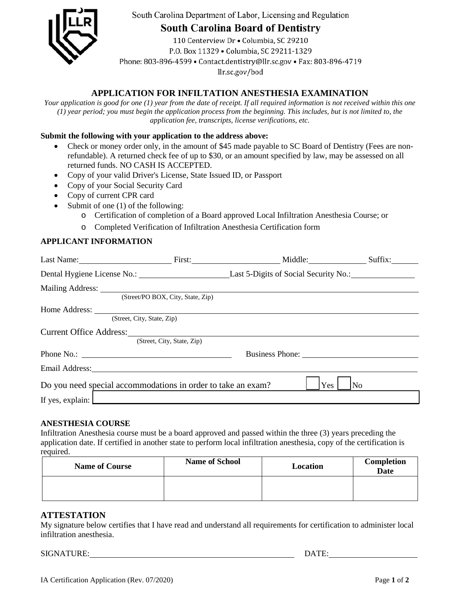

South Carolina Department of Labor, Licensing and Regulation

# **South Carolina Board of Dentistry**

110 Centerview Dr . Columbia, SC 29210 P.O. Box 11329 . Columbia, SC 29211-1329 Phone: 803-896-4599 • Contact.dentistry@llr.sc.gov • Fax: 803-896-4719 llr.sc.gov/bod

### **APPLICATION FOR INFILTATION ANESTHESIA EXAMINATION**

*Your application is good for one (1) year from the date of receipt. If all required information is not received within this one (1) year period; you must begin the application process from the beginning. This includes, but is not limited to, the application fee, transcripts, license verifications, etc.*

#### **Submit the following with your application to the address above:**

- Check or money order only, in the amount of \$45 made payable to SC Board of Dentistry (Fees are nonrefundable). A returned check fee of up to \$30, or an amount specified by law, may be assessed on all returned funds. NO CASH IS ACCEPTED.
- Copy of your valid Driver's License, State Issued ID, or Passport
- Copy of your Social Security Card
- Copy of current CPR card
- Submit of one (1) of the following:
	- o Certification of completion of a Board approved Local Infiltration Anesthesia Course; or
	- o Completed Verification of Infiltration Anesthesia Certification form

#### **APPLICANT INFORMATION**

|                                                              |                                   | Last Name: Suffix: Suffix: Suffix: Suffix: Suffix: Suffix: Suffix: Suffix: Suffix: Suffix: Suffix: Suffix: Suffix: Suffix: Suffix: Suffix: Suffix: Suffix: Suffix: Suffix: Suffix: Suffix: Suffix: Suffix: Suffix: Suffix: Suf |    |
|--------------------------------------------------------------|-----------------------------------|--------------------------------------------------------------------------------------------------------------------------------------------------------------------------------------------------------------------------------|----|
|                                                              |                                   | Dental Hygiene License No.: Last 5-Digits of Social Security No.: 1996                                                                                                                                                         |    |
| Mailing Address: New York 1988.                              |                                   |                                                                                                                                                                                                                                |    |
|                                                              | (Street/PO BOX, City, State, Zip) |                                                                                                                                                                                                                                |    |
|                                                              |                                   |                                                                                                                                                                                                                                |    |
| (Street, City, State, Zip)                                   |                                   |                                                                                                                                                                                                                                |    |
| Current Office Address:                                      |                                   |                                                                                                                                                                                                                                |    |
|                                                              | (Street, City, State, Zip)        |                                                                                                                                                                                                                                |    |
|                                                              | Business Phone:                   |                                                                                                                                                                                                                                |    |
|                                                              |                                   |                                                                                                                                                                                                                                |    |
| Do you need special accommodations in order to take an exam? |                                   | Yes                                                                                                                                                                                                                            | No |
| If yes, explain: $\Box$                                      |                                   |                                                                                                                                                                                                                                |    |

#### **ANESTHESIA COURSE**

Infiltration Anesthesia course must be a board approved and passed within the three (3) years preceding the application date. If certified in another state to perform local infiltration anesthesia, copy of the certification is required.

| <b>Name of Course</b> | <b>Name of School</b> | Location | Completion<br><b>Date</b> |
|-----------------------|-----------------------|----------|---------------------------|
|                       |                       |          |                           |

#### **ATTESTATION**

My signature below certifies that I have read and understand all requirements for certification to administer local infiltration anesthesia.

SIGNATURE: DATE: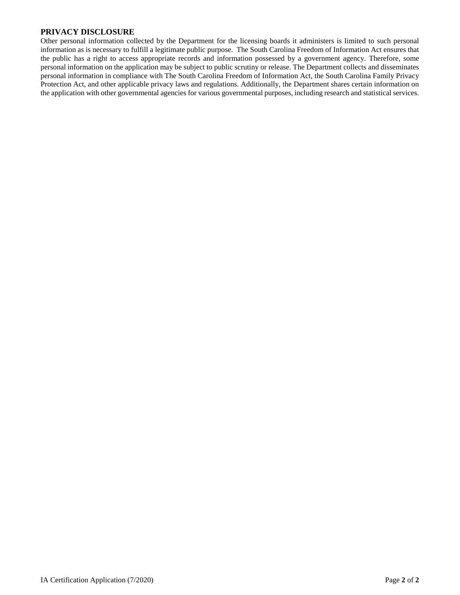#### **PRIVACY DISCLOSURE**

Other personal information collected by the Department for the licensing boards it administers is limited to such personal information as is necessary to fulfill a legitimate public purpose. The South Carolina Freedom of Information Act ensures that the public has a right to access appropriate records and information possessed by a government agency. Therefore, some personal information on the application may be subject to public scrutiny or release. The Department collects and disseminates personal information in compliance with The South Carolina Freedom of Information Act, the South Carolina Family Privacy Protection Act, and other applicable privacy laws and regulations. Additionally, the Department shares certain information on the application with other governmental agencies for various governmental purposes, including research and statistical services.